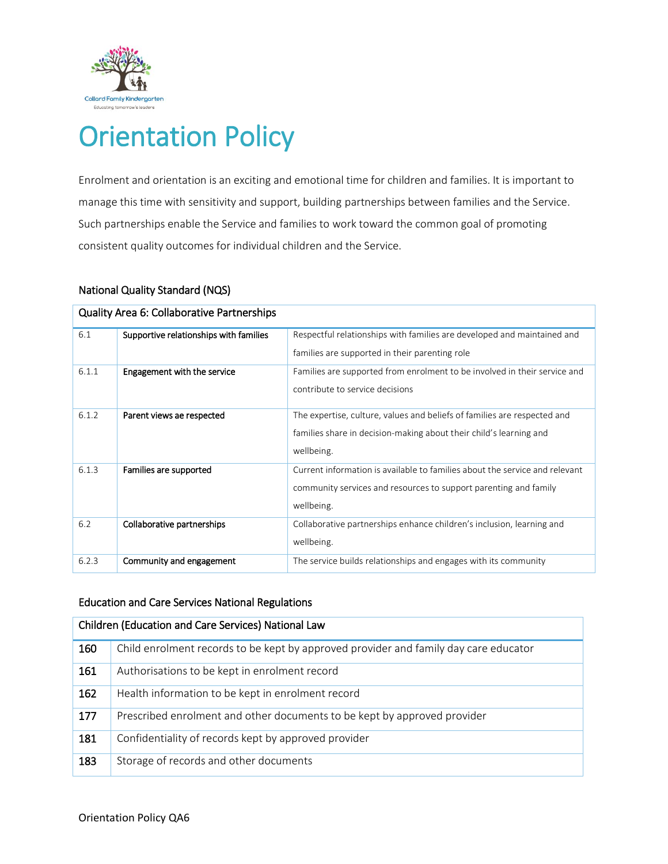

# Orientation Policy

Enrolment and orientation is an exciting and emotional time for children and families. It is important to manage this time with sensitivity and support, building partnerships between families and the Service. Such partnerships enable the Service and families to work toward the common goal of promoting consistent quality outcomes for individual children and the Service.

| Quality Area 6: Collaborative Partnerships |                                        |                                                                             |  |  |  |  |
|--------------------------------------------|----------------------------------------|-----------------------------------------------------------------------------|--|--|--|--|
| 6.1                                        | Supportive relationships with families | Respectful relationships with families are developed and maintained and     |  |  |  |  |
|                                            |                                        | families are supported in their parenting role                              |  |  |  |  |
| 6.1.1                                      | Engagement with the service            | Families are supported from enrolment to be involved in their service and   |  |  |  |  |
|                                            |                                        | contribute to service decisions                                             |  |  |  |  |
| 6.1.2                                      | Parent views ae respected              | The expertise, culture, values and beliefs of families are respected and    |  |  |  |  |
|                                            |                                        | families share in decision-making about their child's learning and          |  |  |  |  |
|                                            |                                        | wellbeing.                                                                  |  |  |  |  |
| 6.1.3                                      | Families are supported                 | Current information is available to families about the service and relevant |  |  |  |  |
|                                            |                                        | community services and resources to support parenting and family            |  |  |  |  |
|                                            |                                        | wellbeing.                                                                  |  |  |  |  |
| 6.2                                        | Collaborative partnerships             | Collaborative partnerships enhance children's inclusion, learning and       |  |  |  |  |
|                                            |                                        | wellbeing.                                                                  |  |  |  |  |
| 6.2.3                                      | Community and engagement               | The service builds relationships and engages with its community             |  |  |  |  |

## National Quality Standard (NQS)

### Education and Care Services National Regulations

| Children (Education and Care Services) National Law |                                                                                      |  |  |  |
|-----------------------------------------------------|--------------------------------------------------------------------------------------|--|--|--|
| 160                                                 | Child enrolment records to be kept by approved provider and family day care educator |  |  |  |
| 161                                                 | Authorisations to be kept in enrolment record                                        |  |  |  |
| 162                                                 | Health information to be kept in enrolment record                                    |  |  |  |
| 177                                                 | Prescribed enrolment and other documents to be kept by approved provider             |  |  |  |
| 181                                                 | Confidentiality of records kept by approved provider                                 |  |  |  |
| 183                                                 | Storage of records and other documents                                               |  |  |  |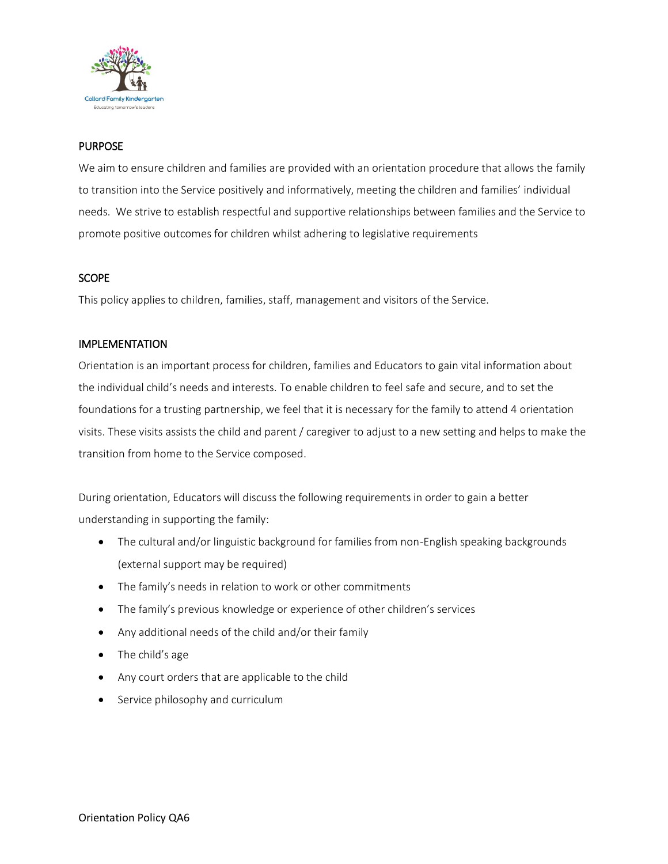

## PURPOSE

We aim to ensure children and families are provided with an orientation procedure that allows the family to transition into the Service positively and informatively, meeting the children and families' individual needs. We strive to establish respectful and supportive relationships between families and the Service to promote positive outcomes for children whilst adhering to legislative requirements

## **SCOPE**

This policy applies to children, families, staff, management and visitors of the Service.

## IMPLEMENTATION

Orientation is an important process for children, families and Educators to gain vital information about the individual child's needs and interests. To enable children to feel safe and secure, and to set the foundations for a trusting partnership, we feel that it is necessary for the family to attend 4 orientation visits. These visits assists the child and parent / caregiver to adjust to a new setting and helps to make the transition from home to the Service composed.

During orientation, Educators will discuss the following requirements in order to gain a better understanding in supporting the family:

- The cultural and/or linguistic background for families from non-English speaking backgrounds (external support may be required)
- The family's needs in relation to work or other commitments
- The family's previous knowledge or experience of other children's services
- Any additional needs of the child and/or their family
- The child's age
- Any court orders that are applicable to the child
- Service philosophy and curriculum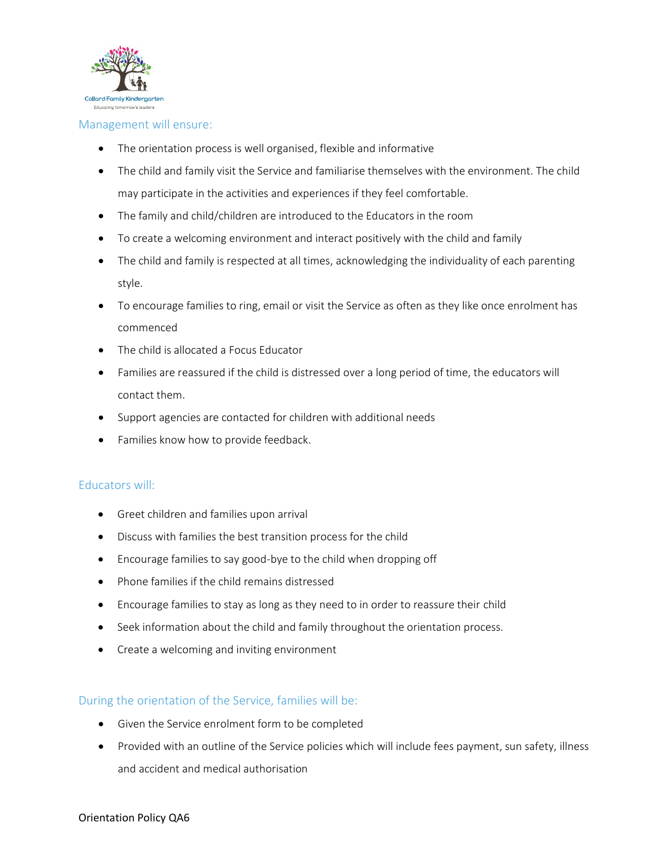

#### Management will ensure:

- The orientation process is well organised, flexible and informative
- The child and family visit the Service and familiarise themselves with the environment. The child may participate in the activities and experiences if they feel comfortable.
- The family and child/children are introduced to the Educators in the room
- To create a welcoming environment and interact positively with the child and family
- The child and family is respected at all times, acknowledging the individuality of each parenting style.
- To encourage families to ring, email or visit the Service as often as they like once enrolment has commenced
- The child is allocated a Focus Educator
- Families are reassured if the child is distressed over a long period of time, the educators will contact them.
- Support agencies are contacted for children with additional needs
- Families know how to provide feedback.

### Educators will:

- Greet children and families upon arrival
- Discuss with families the best transition process for the child
- Encourage families to say good-bye to the child when dropping off
- Phone families if the child remains distressed
- Encourage families to stay as long as they need to in order to reassure their child
- Seek information about the child and family throughout the orientation process.
- Create a welcoming and inviting environment

### During the orientation of the Service, families will be:

- Given the Service enrolment form to be completed
- Provided with an outline of the Service policies which will include fees payment, sun safety, illness and accident and medical authorisation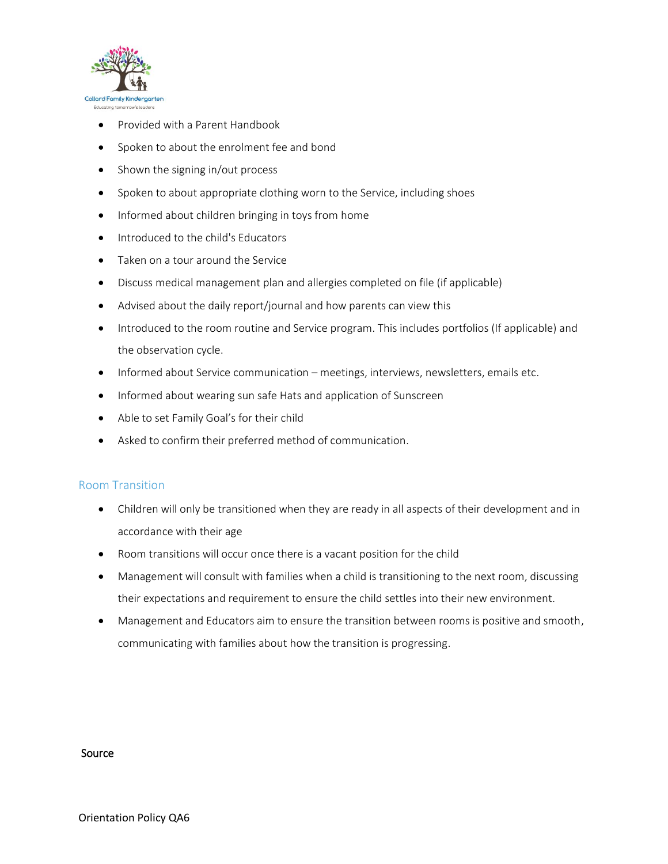

- Provided with a Parent Handbook
- Spoken to about the enrolment fee and bond
- Shown the signing in/out process
- Spoken to about appropriate clothing worn to the Service, including shoes
- Informed about children bringing in toys from home
- Introduced to the child's Educators
- Taken on a tour around the Service
- Discuss medical management plan and allergies completed on file (if applicable)
- Advised about the daily report/journal and how parents can view this
- Introduced to the room routine and Service program. This includes portfolios (If applicable) and the observation cycle.
- Informed about Service communication meetings, interviews, newsletters, emails etc.
- Informed about wearing sun safe Hats and application of Sunscreen
- Able to set Family Goal's for their child
- Asked to confirm their preferred method of communication.

#### Room Transition

- Children will only be transitioned when they are ready in all aspects of their development and in accordance with their age
- Room transitions will occur once there is a vacant position for the child
- Management will consult with families when a child is transitioning to the next room, discussing their expectations and requirement to ensure the child settles into their new environment.
- Management and Educators aim to ensure the transition between rooms is positive and smooth, communicating with families about how the transition is progressing.

#### Source